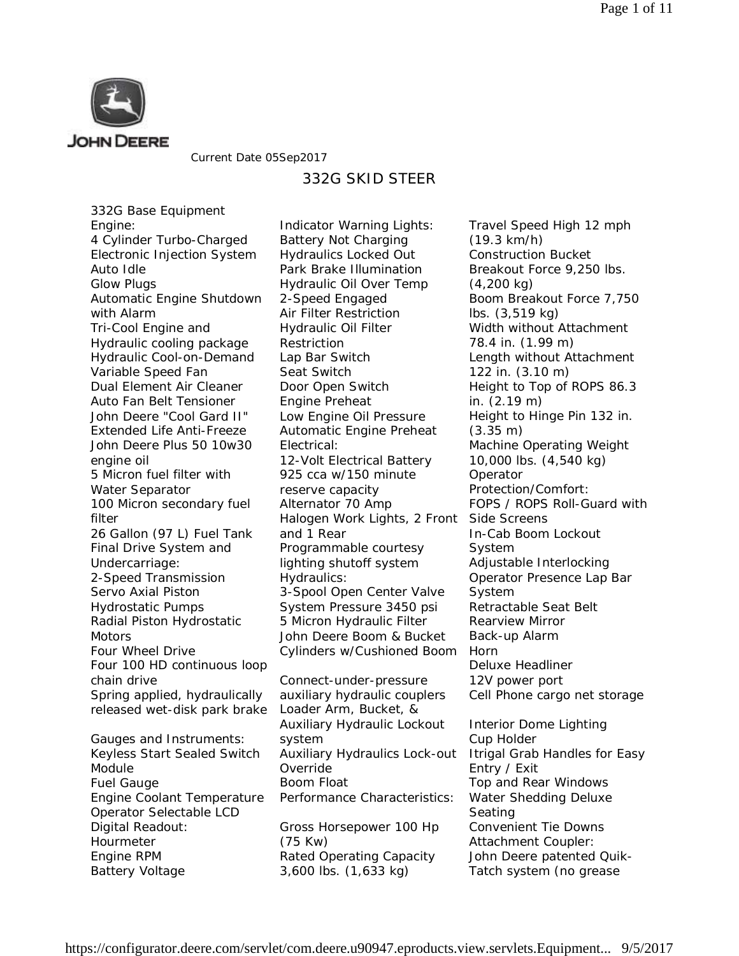

Current Date 05Sep2017

## 332G SKID STEER

332G Base Equipment Engine: 4 Cylinder Turbo-Charged Electronic Injection System Auto Idle Glow Plugs Automatic Engine Shutdown with Alarm Tri-Cool Engine and Hydraulic cooling package Hydraulic Cool-on-Demand Variable Speed Fan Dual Element Air Cleaner Auto Fan Belt Tensioner John Deere "Cool Gard II" Extended Life Anti-Freeze John Deere Plus 50 10w30 engine oil 5 Micron fuel filter with Water Separator 100 Micron secondary fuel filter 26 Gallon (97 L) Fuel Tank Final Drive System and Undercarriage: 2-Speed Transmission Servo Axial Piston Hydrostatic Pumps Radial Piston Hydrostatic **Motors** Four Wheel Drive Four 100 HD continuous loop chain drive Spring applied, hydraulically released wet-disk park brake Gauges and Instruments: Keyless Start Sealed Switch Module Fuel Gauge Engine Coolant Temperature Operator Selectable LCD

Digital Readout: Hourmeter Engine RPM Battery Voltage

Indicator Warning Lights: Battery Not Charging Hydraulics Locked Out Park Brake Illumination Hydraulic Oil Over Temp 2-Speed Engaged Air Filter Restriction Hydraulic Oil Filter Restriction Lap Bar Switch Seat Switch Door Open Switch Engine Preheat Low Engine Oil Pressure Automatic Engine Preheat Electrical: 12-Volt Electrical Battery 925 cca w/150 minute reserve capacity Alternator 70 Amp Halogen Work Lights, 2 Front and 1 Rear Programmable courtesy lighting shutoff system Hydraulics: 3-Spool Open Center Valve System Pressure 3450 psi 5 Micron Hydraulic Filter John Deere Boom & Bucket Cylinders w/Cushioned Boom

Connect-under-pressure auxiliary hydraulic couplers Loader Arm, Bucket, & Auxiliary Hydraulic Lockout system Auxiliary Hydraulics Lock-out Override Boom Float Performance Characteristics:

Gross Horsepower 100 Hp (75 Kw) Rated Operating Capacity 3,600 lbs. (1,633 kg)

Travel Speed High 12 mph (19.3 km/h) Construction Bucket Breakout Force 9,250 lbs. (4,200 kg) Boom Breakout Force 7,750 lbs. (3,519 kg) Width without Attachment 78.4 in. (1.99 m) Length without Attachment 122 in. (3.10 m) Height to Top of ROPS 86.3 in. (2.19 m) Height to Hinge Pin 132 in. (3.35 m) Machine Operating Weight 10,000 lbs. (4,540 kg) Operator Protection/Comfort: FOPS / ROPS Roll-Guard with Side Screens In-Cab Boom Lockout System Adjustable Interlocking Operator Presence Lap Bar System Retractable Seat Belt Rearview Mirror Back-up Alarm Horn Deluxe Headliner 12V power port Cell Phone cargo net storage Interior Dome Lighting

Cup Holder Itrigal Grab Handles for Easy Entry / Exit Top and Rear Windows Water Shedding Deluxe Seating Convenient Tie Downs Attachment Coupler: John Deere patented Quik-Tatch system (no grease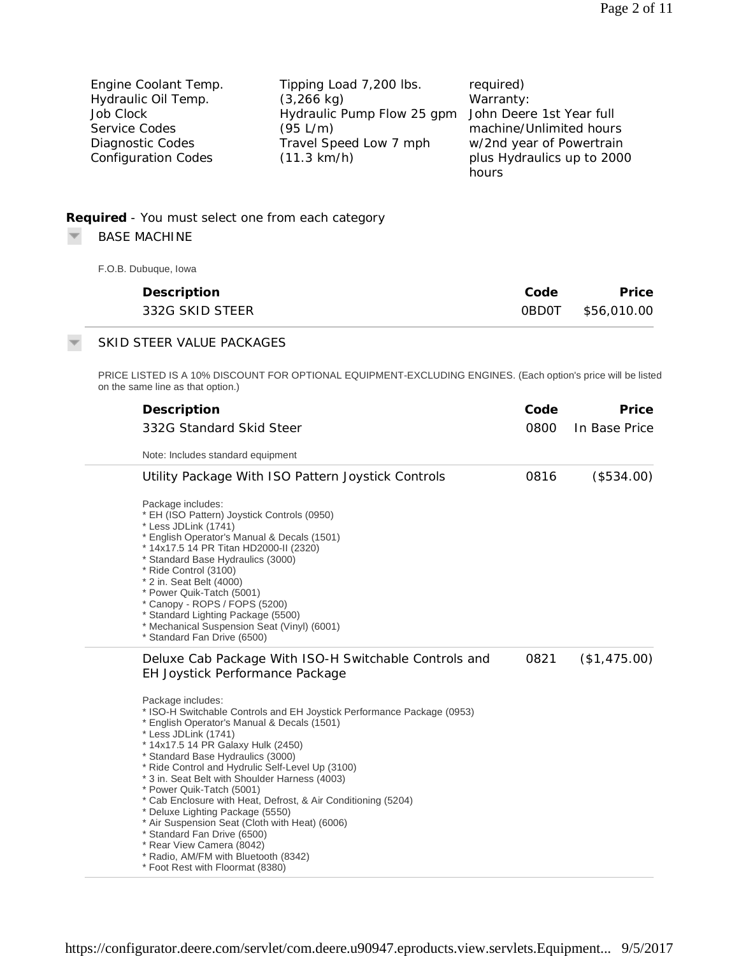| Engine Coolant Temp.       | Tipping Load 7,200 lbs.                             | required)                  |
|----------------------------|-----------------------------------------------------|----------------------------|
| Hydraulic Oil Temp.        | $(3,266 \text{ kg})$                                | Warranty:                  |
| Job Clock                  | Hydraulic Pump Flow 25 gpm John Deere 1st Year full |                            |
| Service Codes              | (95 L/m)                                            | machine/Unlimited hours    |
| Diagnostic Codes           | Travel Speed Low 7 mph                              | w/2nd year of Powertrain   |
| <b>Configuration Codes</b> | $(11.3 \text{ km/h})$                               | plus Hydraulics up to 2000 |
|                            |                                                     | hours                      |

## **Required** *- You must select one from each category*

BASE MACHINE  $\overline{\phantom{a}}$ 

F.O.B. Dubuque, Iowa

| Description     | Code | Price             |
|-----------------|------|-------------------|
| 332G SKID STEER |      | 0BD0T \$56,010.00 |

## SKID STEER VALUE PACKAGES

PRICE LISTED IS A 10% DISCOUNT FOR OPTIONAL EQUIPMENT-EXCLUDING ENGINES. (Each option's price will be listed on the same line as that option.)

| Description<br>332G Standard Skid Steer<br>Note: Includes standard equipment                                                                                                                                                                                                                                                                                                                                                                                                                                                                                                                                                                                                                                                                                                | Code<br>0800 | Price<br>In Base Price |
|-----------------------------------------------------------------------------------------------------------------------------------------------------------------------------------------------------------------------------------------------------------------------------------------------------------------------------------------------------------------------------------------------------------------------------------------------------------------------------------------------------------------------------------------------------------------------------------------------------------------------------------------------------------------------------------------------------------------------------------------------------------------------------|--------------|------------------------|
| Utility Package With ISO Pattern Joystick Controls<br>Package includes:<br>* EH (ISO Pattern) Joystick Controls (0950)<br>* Less JDLink (1741)<br>* English Operator's Manual & Decals (1501)<br>* 14x17.5 14 PR Titan HD2000-II (2320)<br>* Standard Base Hydraulics (3000)<br>* Ride Control (3100)<br>* 2 in. Seat Belt (4000)<br>* Power Quik-Tatch (5001)<br>* Canopy - ROPS / FOPS (5200)<br>* Standard Lighting Package (5500)<br>* Mechanical Suspension Seat (Vinyl) (6001)<br>* Standard Fan Drive (6500)                                                                                                                                                                                                                                                         | 0816         | (\$534.00)             |
| Deluxe Cab Package With ISO-H Switchable Controls and<br>EH Joystick Performance Package<br>Package includes:<br>* ISO-H Switchable Controls and EH Joystick Performance Package (0953)<br>* English Operator's Manual & Decals (1501)<br>* Less JDLink (1741)<br>* 14x17.5 14 PR Galaxy Hulk (2450)<br>* Standard Base Hydraulics (3000)<br>* Ride Control and Hydrulic Self-Level Up (3100)<br>* 3 in. Seat Belt with Shoulder Harness (4003)<br>* Power Quik-Tatch (5001)<br>* Cab Enclosure with Heat, Defrost, & Air Conditioning (5204)<br>* Deluxe Lighting Package (5550)<br>* Air Suspension Seat (Cloth with Heat) (6006)<br>* Standard Fan Drive (6500)<br>* Rear View Camera (8042)<br>* Radio, AM/FM with Bluetooth (8342)<br>* Foot Rest with Floormat (8380) | 0821         | (\$1,475.00)           |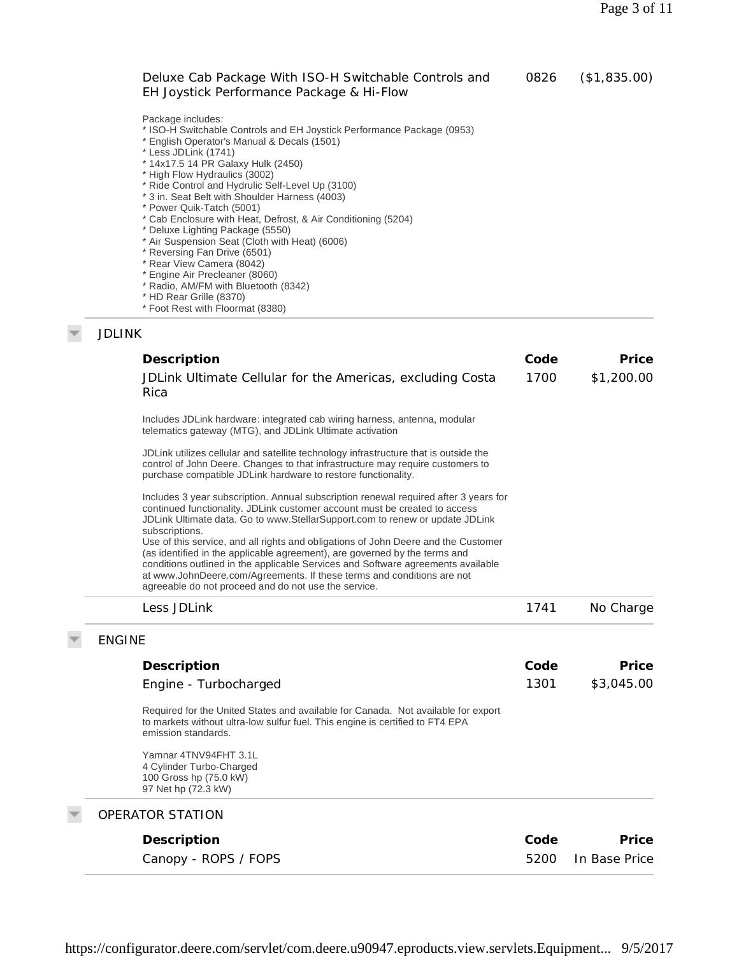|               | Deluxe Cab Package With ISO-H Switchable Controls and<br>EH Joystick Performance Package & Hi-Flow                                                                                                                                                                                                                                                                                                                                                                                                                                                                                                                                                                                                                                        | 0826 | (\$1,835.00) |
|---------------|-------------------------------------------------------------------------------------------------------------------------------------------------------------------------------------------------------------------------------------------------------------------------------------------------------------------------------------------------------------------------------------------------------------------------------------------------------------------------------------------------------------------------------------------------------------------------------------------------------------------------------------------------------------------------------------------------------------------------------------------|------|--------------|
|               | Package includes:<br>* ISO-H Switchable Controls and EH Joystick Performance Package (0953)<br>* English Operator's Manual & Decals (1501)<br>* Less JDLink (1741)<br>* 14x17.5 14 PR Galaxy Hulk (2450)<br>* High Flow Hydraulics (3002)<br>* Ride Control and Hydrulic Self-Level Up (3100)<br>* 3 in. Seat Belt with Shoulder Harness (4003)<br>* Power Quik-Tatch (5001)<br>* Cab Enclosure with Heat, Defrost, & Air Conditioning (5204)<br>* Deluxe Lighting Package (5550)<br>* Air Suspension Seat (Cloth with Heat) (6006)<br>* Reversing Fan Drive (6501)<br>* Rear View Camera (8042)<br>* Engine Air Precleaner (8060)<br>* Radio, AM/FM with Bluetooth (8342)<br>* HD Rear Grille (8370)<br>* Foot Rest with Floormat (8380) |      |              |
| <b>JDLINK</b> |                                                                                                                                                                                                                                                                                                                                                                                                                                                                                                                                                                                                                                                                                                                                           |      |              |
|               | Description                                                                                                                                                                                                                                                                                                                                                                                                                                                                                                                                                                                                                                                                                                                               | Code | Price        |
|               | JDLink Ultimate Cellular for the Americas, excluding Costa<br>Rica                                                                                                                                                                                                                                                                                                                                                                                                                                                                                                                                                                                                                                                                        | 1700 | \$1,200.00   |
|               | Includes JDLink hardware: integrated cab wiring harness, antenna, modular<br>telematics gateway (MTG), and JDLink Ultimate activation                                                                                                                                                                                                                                                                                                                                                                                                                                                                                                                                                                                                     |      |              |
|               | JDLink utilizes cellular and satellite technology infrastructure that is outside the<br>control of John Deere. Changes to that infrastructure may require customers to<br>purchase compatible JDLink hardware to restore functionality.                                                                                                                                                                                                                                                                                                                                                                                                                                                                                                   |      |              |
|               | Includes 3 year subscription. Annual subscription renewal required after 3 years for<br>continued functionality. JDLink customer account must be created to access<br>JDLink Ultimate data. Go to www.StellarSupport.com to renew or update JDLink<br>subscriptions.                                                                                                                                                                                                                                                                                                                                                                                                                                                                      |      |              |

Use of this service, and all rights and obligations of John Deere and the Customer (as identified in the applicable agreement), are governed by the terms and conditions outlined in the applicable Services and Software agreements available at www.JohnDeere.com/Agreements. If these terms and conditions are not agreeable do not proceed and do not use the service.

| Less JDLink                                                                                                                                                                               | 1741 | No Charge     |
|-------------------------------------------------------------------------------------------------------------------------------------------------------------------------------------------|------|---------------|
| <b>ENGINE</b>                                                                                                                                                                             |      |               |
| Description                                                                                                                                                                               | Code | Price         |
| Engine - Turbocharged                                                                                                                                                                     | 1301 | \$3,045.00    |
| Required for the United States and available for Canada. Not available for export<br>to markets without ultra-low sulfur fuel. This engine is certified to FT4 EPA<br>emission standards. |      |               |
| Yamnar 4TNV94FHT 3.1L<br>4 Cylinder Turbo-Charged<br>100 Gross hp (75.0 kW)<br>97 Net hp (72.3 kW)                                                                                        |      |               |
| OPERATOR STATION                                                                                                                                                                          |      |               |
| Description                                                                                                                                                                               | Code | Price         |
| Canopy - ROPS / FOPS                                                                                                                                                                      | 5200 | In Base Price |

https://configurator.deere.com/servlet/com.deere.u90947.eproducts.view.servlets.Equipment... 9/5/2017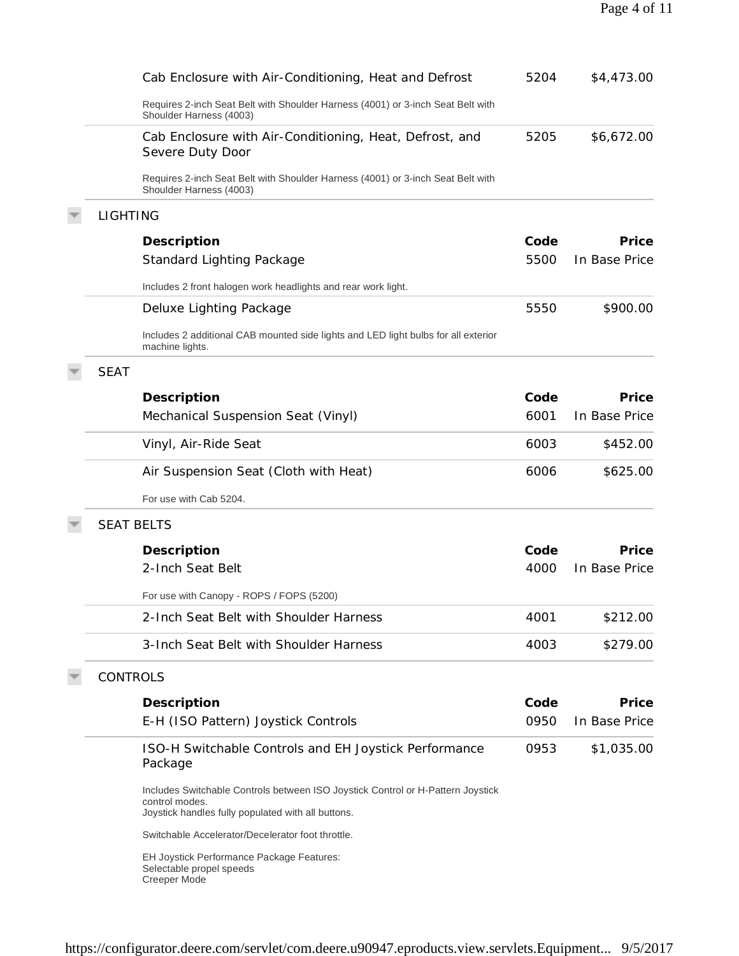|                 | Cab Enclosure with Air-Conditioning, Heat and Defrost                                                                                                   | 5204 | \$4,473.00    |
|-----------------|---------------------------------------------------------------------------------------------------------------------------------------------------------|------|---------------|
|                 | Requires 2-inch Seat Belt with Shoulder Harness (4001) or 3-inch Seat Belt with<br>Shoulder Harness (4003)                                              |      |               |
|                 | Cab Enclosure with Air-Conditioning, Heat, Defrost, and<br>Severe Duty Door                                                                             | 5205 | \$6,672.00    |
|                 | Requires 2-inch Seat Belt with Shoulder Harness (4001) or 3-inch Seat Belt with<br>Shoulder Harness (4003)                                              |      |               |
| <b>LIGHTING</b> |                                                                                                                                                         |      |               |
|                 | Description                                                                                                                                             | Code | Price         |
|                 | <b>Standard Lighting Package</b>                                                                                                                        | 5500 | In Base Price |
|                 | Includes 2 front halogen work headlights and rear work light.                                                                                           |      |               |
|                 | Deluxe Lighting Package                                                                                                                                 | 5550 | \$900.00      |
|                 | Includes 2 additional CAB mounted side lights and LED light bulbs for all exterior<br>machine lights.                                                   |      |               |
| <b>SEAT</b>     |                                                                                                                                                         |      |               |
|                 | Description                                                                                                                                             | Code | Price         |
|                 | Mechanical Suspension Seat (Vinyl)                                                                                                                      | 6001 | In Base Price |
|                 | Vinyl, Air-Ride Seat                                                                                                                                    | 6003 | \$452.00      |
|                 | Air Suspension Seat (Cloth with Heat)                                                                                                                   | 6006 | \$625.00      |
|                 | For use with Cab 5204.                                                                                                                                  |      |               |
|                 | <b>SEAT BELTS</b>                                                                                                                                       |      |               |
|                 | Description                                                                                                                                             | Code | Price         |
|                 | 2-Inch Seat Belt                                                                                                                                        | 4000 | In Base Price |
|                 | For use with Canopy - ROPS / FOPS (5200)                                                                                                                |      |               |
|                 | 2-Inch Seat Belt with Shoulder Harness                                                                                                                  | 4001 | \$212.00      |
|                 | 3-Inch Seat Belt with Shoulder Harness                                                                                                                  | 4003 | \$279.00      |
| <b>CONTROLS</b> |                                                                                                                                                         |      |               |
|                 |                                                                                                                                                         | Code | Price         |
|                 | Description                                                                                                                                             |      |               |
|                 | E-H (ISO Pattern) Joystick Controls                                                                                                                     | 0950 | In Base Price |
|                 | ISO-H Switchable Controls and EH Joystick Performance<br>Package                                                                                        | 0953 | \$1,035.00    |
|                 | Includes Switchable Controls between ISO Joystick Control or H-Pattern Joystick<br>control modes.<br>Joystick handles fully populated with all buttons. |      |               |
|                 | Switchable Accelerator/Decelerator foot throttle.                                                                                                       |      |               |
|                 | EH Joystick Performance Package Features:<br>Selectable propel speeds<br>Creeper Mode                                                                   |      |               |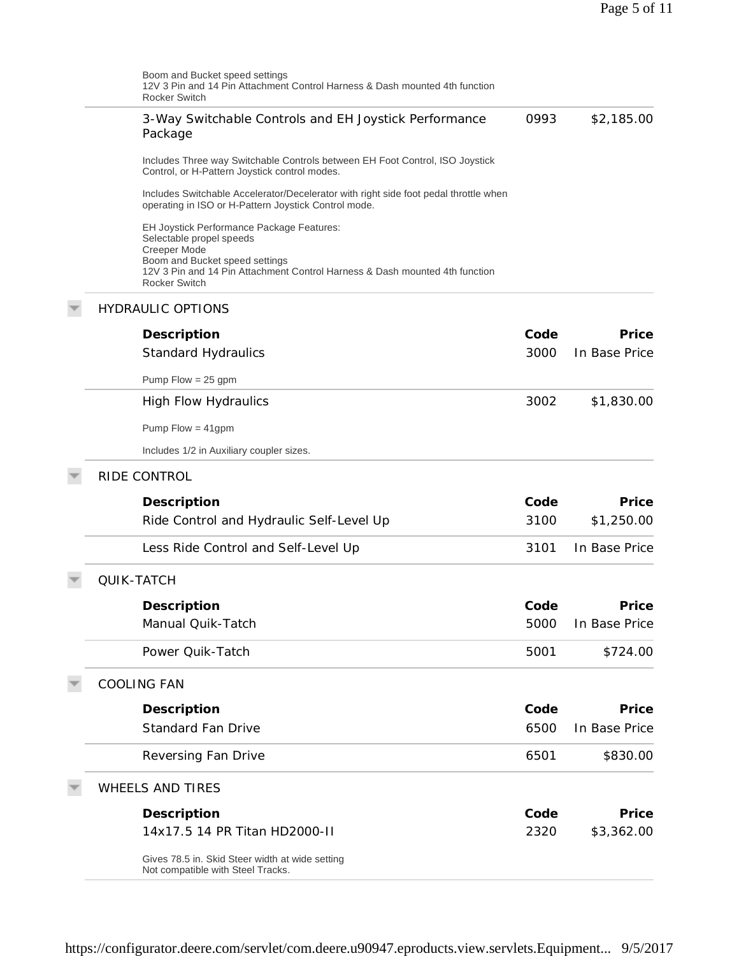| Boom and Bucket speed settings<br>12V 3 Pin and 14 Pin Attachment Control Harness & Dash mounted 4th function<br>Rocker Switch                        |      |               |
|-------------------------------------------------------------------------------------------------------------------------------------------------------|------|---------------|
| 3-Way Switchable Controls and EH Joystick Performance<br>Package                                                                                      | 0993 | \$2,185.00    |
| Includes Three way Switchable Controls between EH Foot Control, ISO Joystick<br>Control, or H-Pattern Joystick control modes.                         |      |               |
| Includes Switchable Accelerator/Decelerator with right side foot pedal throttle when<br>operating in ISO or H-Pattern Joystick Control mode.          |      |               |
| EH Joystick Performance Package Features:<br>Selectable propel speeds                                                                                 |      |               |
| Creeper Mode<br>Boom and Bucket speed settings<br>12V 3 Pin and 14 Pin Attachment Control Harness & Dash mounted 4th function<br><b>Rocker Switch</b> |      |               |
| <b>HYDRAULIC OPTIONS</b>                                                                                                                              |      |               |
| Description                                                                                                                                           | Code | Price         |
| Standard Hydraulics                                                                                                                                   | 3000 | In Base Price |
| Pump $Flow = 25$ gpm                                                                                                                                  |      |               |
| <b>High Flow Hydraulics</b>                                                                                                                           | 3002 | \$1,830.00    |
| Pump Flow = $41$ gpm                                                                                                                                  |      |               |
| Includes 1/2 in Auxiliary coupler sizes.                                                                                                              |      |               |
| RIDE CONTROL                                                                                                                                          |      |               |
| Description                                                                                                                                           | Code | Price         |
| Ride Control and Hydraulic Self-Level Up                                                                                                              | 3100 | \$1,250.00    |
| Less Ride Control and Self-Level Up                                                                                                                   | 3101 | In Base Price |
| QUIK-TATCH                                                                                                                                            |      |               |
| Description                                                                                                                                           | Code | Price         |
| Manual Quik-Tatch                                                                                                                                     | 5000 | In Base Price |
| Power Quik-Tatch                                                                                                                                      | 5001 | \$724.00      |
| <b>COOLING FAN</b>                                                                                                                                    |      |               |
| Description                                                                                                                                           | Code | Price         |
| <b>Standard Fan Drive</b>                                                                                                                             | 6500 | In Base Price |
| Reversing Fan Drive                                                                                                                                   | 6501 | \$830.00      |
| <b>WHEELS AND TIRES</b>                                                                                                                               |      |               |
| Description                                                                                                                                           | Code | Price         |
| 14x17.5 14 PR Titan HD2000-II                                                                                                                         | 2320 | \$3,362.00    |
| Gives 78.5 in. Skid Steer width at wide setting<br>Not compatible with Steel Tracks.                                                                  |      |               |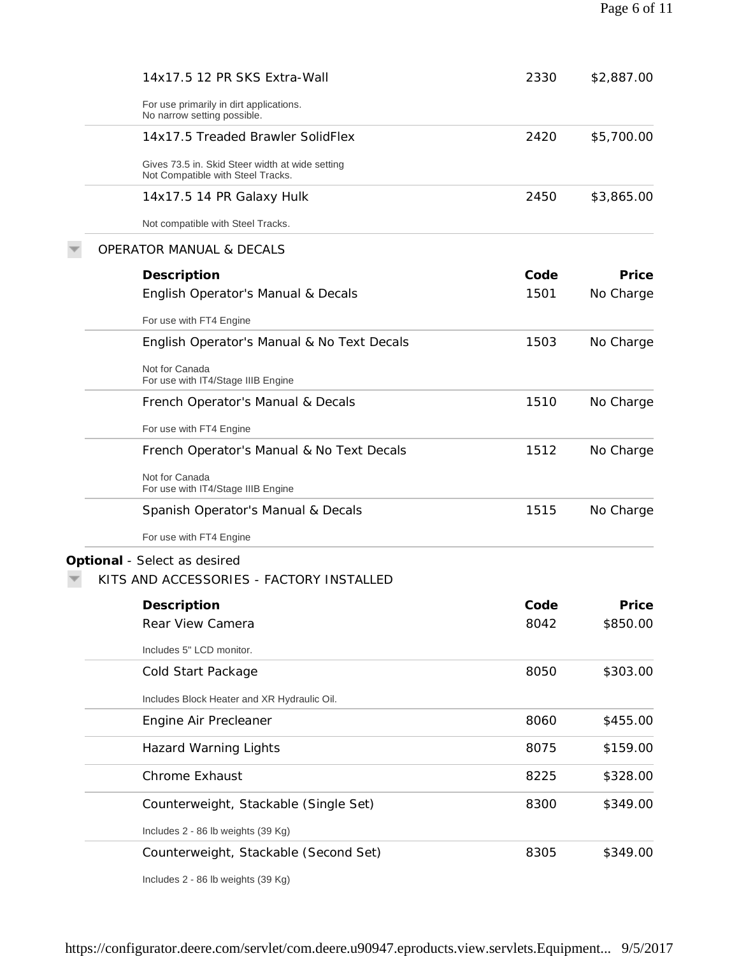| 14x17.5 12 PR SKS Extra-Wall                                                         | 2330 | \$2,887.00 |
|--------------------------------------------------------------------------------------|------|------------|
| For use primarily in dirt applications.<br>No narrow setting possible.               |      |            |
| 14x17.5 Treaded Brawler SolidFlex                                                    | 2420 | \$5,700.00 |
| Gives 73.5 in. Skid Steer width at wide setting<br>Not Compatible with Steel Tracks. |      |            |
| 14x17.5 14 PR Galaxy Hulk                                                            | 2450 | \$3,865.00 |
| Not compatible with Steel Tracks.                                                    |      |            |
| <b>OPERATOR MANUAL &amp; DECALS</b>                                                  |      |            |
| Description                                                                          | Code | Price      |
| English Operator's Manual & Decals                                                   | 1501 | No Charge  |
| For use with FT4 Engine                                                              |      |            |
| English Operator's Manual & No Text Decals                                           | 1503 | No Charge  |
| Not for Canada<br>For use with IT4/Stage IIIB Engine                                 |      |            |
| French Operator's Manual & Decals                                                    | 1510 | No Charge  |
| For use with FT4 Engine                                                              |      |            |
| French Operator's Manual & No Text Decals                                            | 1512 | No Charge  |
| Not for Canada<br>For use with IT4/Stage IIIB Engine                                 |      |            |
| Spanish Operator's Manual & Decals                                                   | 1515 | No Charge  |
| For use with FT4 Engine                                                              |      |            |
| Optional - Select as desired                                                         |      |            |
| KITS AND ACCESSORIES - FACTORY INSTALLED                                             |      |            |
| Description                                                                          | Code | Price      |
| Rear View Camera                                                                     | 8042 | \$850.00   |
| Includes 5" LCD monitor.                                                             |      |            |
| Cold Start Package                                                                   | 8050 | \$303.00   |
| Includes Block Heater and XR Hydraulic Oil.                                          |      |            |
| Engine Air Precleaner                                                                | 8060 | \$455.00   |
| <b>Hazard Warning Lights</b>                                                         | 8075 | \$159.00   |
| <b>Chrome Exhaust</b>                                                                | 8225 | \$328.00   |
| Counterweight, Stackable (Single Set)                                                | 8300 | \$349.00   |
| Includes 2 - 86 lb weights (39 Kg)                                                   |      |            |
| Counterweight, Stackable (Second Set)                                                | 8305 | \$349.00   |

Includes 2 - 86 lb weights (39 Kg)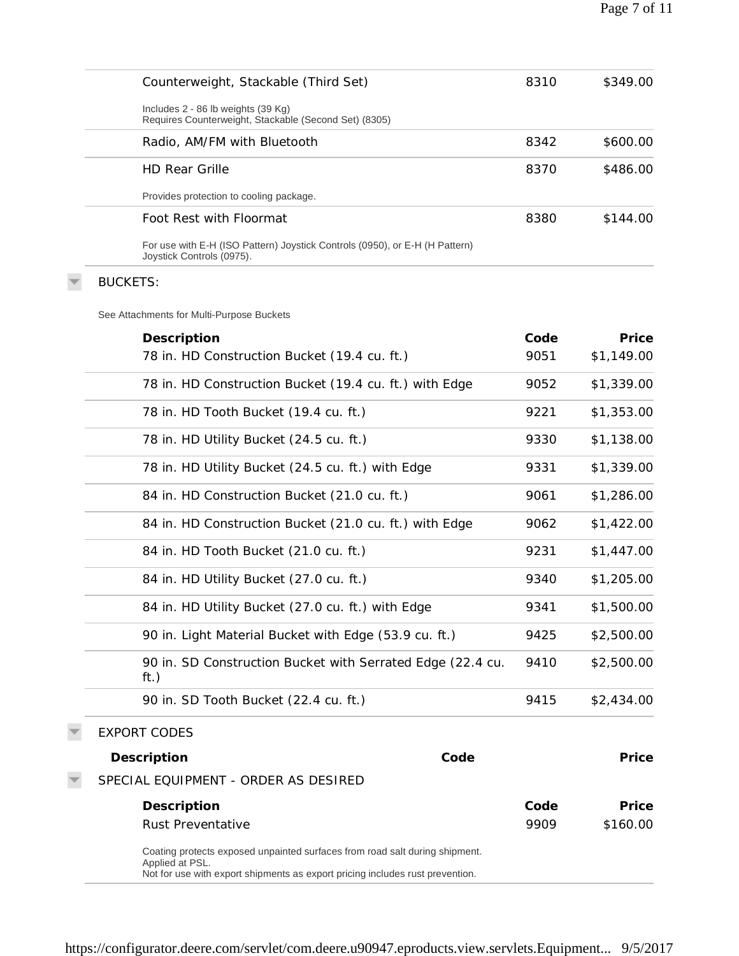| Counterweight, Stackable (Third Set)                                                                                                                                            | 8310 | \$349.00   |
|---------------------------------------------------------------------------------------------------------------------------------------------------------------------------------|------|------------|
| Includes 2 - 86 lb weights (39 Kg)<br>Requires Counterweight, Stackable (Second Set) (8305)                                                                                     |      |            |
| Radio, AM/FM with Bluetooth                                                                                                                                                     | 8342 | \$600.00   |
| <b>HD Rear Grille</b>                                                                                                                                                           | 8370 | \$486.00   |
| Provides protection to cooling package.                                                                                                                                         |      |            |
| Foot Rest with Floormat                                                                                                                                                         | 8380 | \$144.00   |
| For use with E-H (ISO Pattern) Joystick Controls (0950), or E-H (H Pattern)<br>Joystick Controls (0975).                                                                        |      |            |
| <b>BUCKETS:</b>                                                                                                                                                                 |      |            |
| See Attachments for Multi-Purpose Buckets                                                                                                                                       |      |            |
| Description                                                                                                                                                                     | Code | Price      |
| 78 in. HD Construction Bucket (19.4 cu. ft.)                                                                                                                                    | 9051 | \$1,149.00 |
| 78 in. HD Construction Bucket (19.4 cu. ft.) with Edge                                                                                                                          | 9052 | \$1,339.00 |
| 78 in. HD Tooth Bucket (19.4 cu. ft.)                                                                                                                                           | 9221 | \$1,353.00 |
| 78 in. HD Utility Bucket (24.5 cu. ft.)                                                                                                                                         | 9330 | \$1,138.00 |
| 78 in. HD Utility Bucket (24.5 cu. ft.) with Edge                                                                                                                               | 9331 | \$1,339.00 |
| 84 in. HD Construction Bucket (21.0 cu. ft.)                                                                                                                                    | 9061 | \$1,286.00 |
| 84 in. HD Construction Bucket (21.0 cu. ft.) with Edge                                                                                                                          | 9062 | \$1,422.00 |
| 84 in. HD Tooth Bucket (21.0 cu. ft.)                                                                                                                                           | 9231 | \$1,447.00 |
| 84 in. HD Utility Bucket (27.0 cu. ft.)                                                                                                                                         | 9340 | \$1,205.00 |
| 84 in. HD Utility Bucket (27.0 cu. ft.) with Edge                                                                                                                               | 9341 | \$1,500.00 |
| 90 in. Light Material Bucket with Edge (53.9 cu. ft.)                                                                                                                           | 9425 | \$2,500.00 |
| 90 in. SD Construction Bucket with Serrated Edge (22.4 cu.<br>ft.)                                                                                                              | 9410 | \$2,500.00 |
| 90 in. SD Tooth Bucket (22.4 cu. ft.)                                                                                                                                           | 9415 | \$2,434.00 |
| <b>EXPORT CODES</b>                                                                                                                                                             |      |            |
| Code<br>Description                                                                                                                                                             |      | Price      |
| SPECIAL EQUIPMENT - ORDER AS DESIRED                                                                                                                                            |      |            |
| Description                                                                                                                                                                     | Code | Price      |
| Rust Preventative                                                                                                                                                               | 9909 | \$160.00   |
| Coating protects exposed unpainted surfaces from road salt during shipment.<br>Applied at PSL.<br>Not for use with export shipments as export pricing includes rust prevention. |      |            |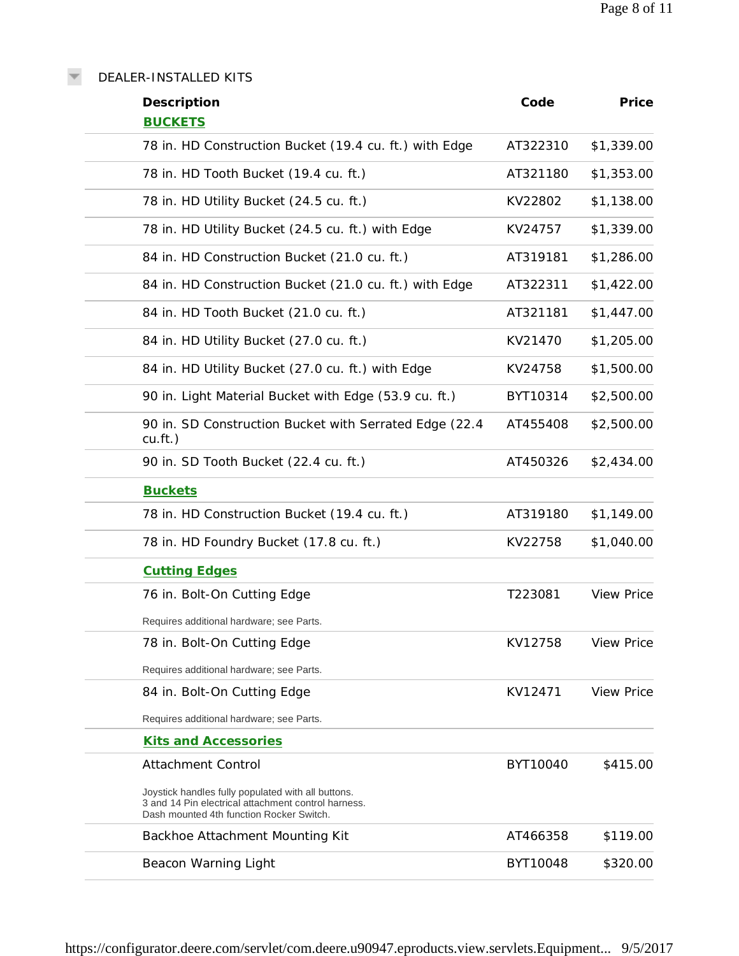DEALER-INSTALLED KITS

 $\overline{\nabla}$ 

| Description<br><b>BUCKETS</b>                                                                                                                         | Code     | Price             |
|-------------------------------------------------------------------------------------------------------------------------------------------------------|----------|-------------------|
| 78 in. HD Construction Bucket (19.4 cu. ft.) with Edge                                                                                                | AT322310 | \$1,339.00        |
| 78 in. HD Tooth Bucket (19.4 cu. ft.)                                                                                                                 | AT321180 | \$1,353.00        |
| 78 in. HD Utility Bucket (24.5 cu. ft.)                                                                                                               | KV22802  | \$1,138.00        |
| 78 in. HD Utility Bucket (24.5 cu. ft.) with Edge                                                                                                     | KV24757  | \$1,339.00        |
| 84 in. HD Construction Bucket (21.0 cu. ft.)                                                                                                          | AT319181 | \$1,286.00        |
| 84 in. HD Construction Bucket (21.0 cu. ft.) with Edge                                                                                                | AT322311 | \$1,422.00        |
| 84 in. HD Tooth Bucket (21.0 cu. ft.)                                                                                                                 | AT321181 | \$1,447.00        |
| 84 in. HD Utility Bucket (27.0 cu. ft.)                                                                                                               | KV21470  | \$1,205.00        |
| 84 in. HD Utility Bucket (27.0 cu. ft.) with Edge                                                                                                     | KV24758  | \$1,500.00        |
| 90 in. Light Material Bucket with Edge (53.9 cu. ft.)                                                                                                 | BYT10314 | \$2,500.00        |
| 90 in. SD Construction Bucket with Serrated Edge (22.4<br>$cu.f.t.$ )                                                                                 | AT455408 | \$2,500.00        |
| 90 in. SD Tooth Bucket (22.4 cu. ft.)                                                                                                                 | AT450326 | \$2,434.00        |
| <b>Buckets</b>                                                                                                                                        |          |                   |
| 78 in. HD Construction Bucket (19.4 cu. ft.)                                                                                                          | AT319180 | \$1,149.00        |
| 78 in. HD Foundry Bucket (17.8 cu. ft.)                                                                                                               | KV22758  | \$1,040.00        |
| <b>Cutting Edges</b>                                                                                                                                  |          |                   |
| 76 in. Bolt-On Cutting Edge                                                                                                                           | T223081  | <b>View Price</b> |
| Requires additional hardware; see Parts.                                                                                                              |          |                   |
| 78 in. Bolt-On Cutting Edge                                                                                                                           | KV12758  | <b>View Price</b> |
| Requires additional hardware; see Parts.                                                                                                              |          |                   |
| 84 in. Bolt-On Cutting Edge                                                                                                                           | KV12471  | <b>View Price</b> |
| Requires additional hardware; see Parts.                                                                                                              |          |                   |
| <b>Kits and Accessories</b>                                                                                                                           |          |                   |
| <b>Attachment Control</b>                                                                                                                             | BYT10040 | \$415.00          |
| Joystick handles fully populated with all buttons.<br>3 and 14 Pin electrical attachment control harness.<br>Dash mounted 4th function Rocker Switch. |          |                   |
| Backhoe Attachment Mounting Kit                                                                                                                       | AT466358 | \$119.00          |
| Beacon Warning Light                                                                                                                                  | BYT10048 | \$320.00          |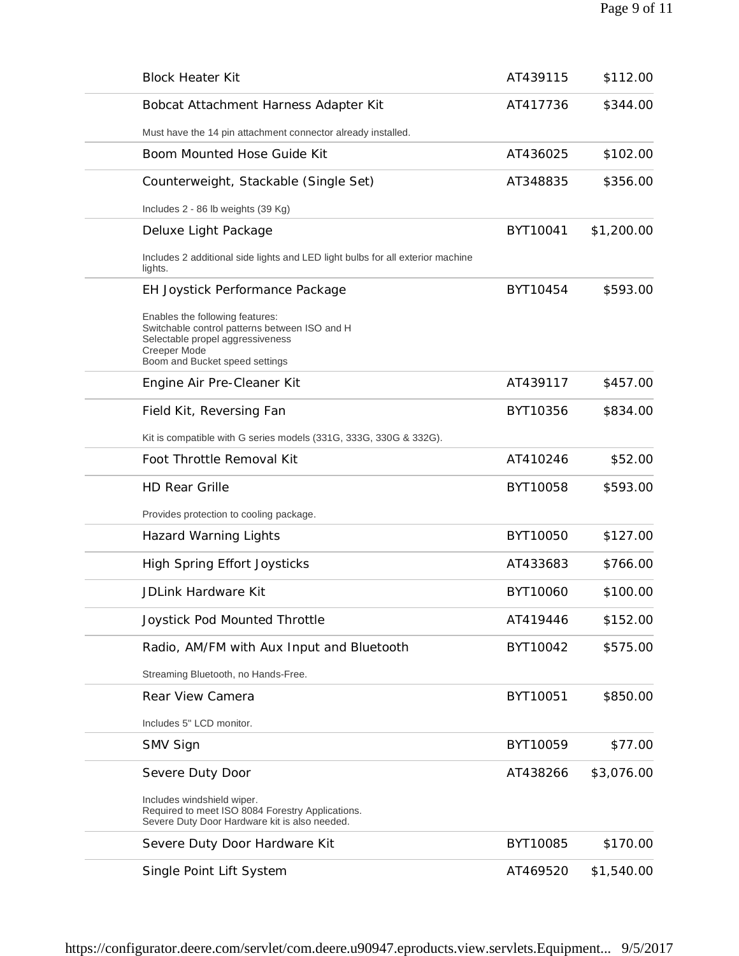| <b>Block Heater Kit</b>                                                                                                                                                       | AT439115 | \$112.00   |
|-------------------------------------------------------------------------------------------------------------------------------------------------------------------------------|----------|------------|
| Bobcat Attachment Harness Adapter Kit                                                                                                                                         | AT417736 | \$344.00   |
| Must have the 14 pin attachment connector already installed.                                                                                                                  |          |            |
| Boom Mounted Hose Guide Kit                                                                                                                                                   | AT436025 | \$102.00   |
| Counterweight, Stackable (Single Set)                                                                                                                                         | AT348835 | \$356.00   |
| Includes 2 - 86 lb weights (39 Kg)                                                                                                                                            |          |            |
| Deluxe Light Package                                                                                                                                                          | BYT10041 | \$1,200.00 |
| Includes 2 additional side lights and LED light bulbs for all exterior machine<br>lights.                                                                                     |          |            |
| EH Joystick Performance Package                                                                                                                                               | BYT10454 | \$593.00   |
| Enables the following features:<br>Switchable control patterns between ISO and H<br>Selectable propel aggressiveness<br><b>Creeper Mode</b><br>Boom and Bucket speed settings |          |            |
| Engine Air Pre-Cleaner Kit                                                                                                                                                    | AT439117 | \$457.00   |
| Field Kit, Reversing Fan                                                                                                                                                      | BYT10356 | \$834.00   |
| Kit is compatible with G series models (331G, 333G, 330G & 332G).                                                                                                             |          |            |
| Foot Throttle Removal Kit                                                                                                                                                     | AT410246 | \$52.00    |
| <b>HD Rear Grille</b>                                                                                                                                                         | BYT10058 | \$593.00   |
| Provides protection to cooling package.                                                                                                                                       |          |            |
| <b>Hazard Warning Lights</b>                                                                                                                                                  | BYT10050 | \$127.00   |
| High Spring Effort Joysticks                                                                                                                                                  | AT433683 | \$766.00   |
| JDLink Hardware Kit                                                                                                                                                           | BYT10060 | \$100.00   |
| Joystick Pod Mounted Throttle                                                                                                                                                 | AT419446 | \$152.00   |
| Radio, AM/FM with Aux Input and Bluetooth                                                                                                                                     | BYT10042 | \$575.00   |
| Streaming Bluetooth, no Hands-Free.                                                                                                                                           |          |            |
| Rear View Camera                                                                                                                                                              | BYT10051 | \$850.00   |
| Includes 5" LCD monitor.                                                                                                                                                      |          |            |
| SMV Sign                                                                                                                                                                      | BYT10059 | \$77.00    |
| Severe Duty Door                                                                                                                                                              | AT438266 | \$3,076.00 |
| Includes windshield wiper.<br>Required to meet ISO 8084 Forestry Applications.<br>Severe Duty Door Hardware kit is also needed.                                               |          |            |
| Severe Duty Door Hardware Kit                                                                                                                                                 | BYT10085 | \$170.00   |
| Single Point Lift System                                                                                                                                                      | AT469520 | \$1,540.00 |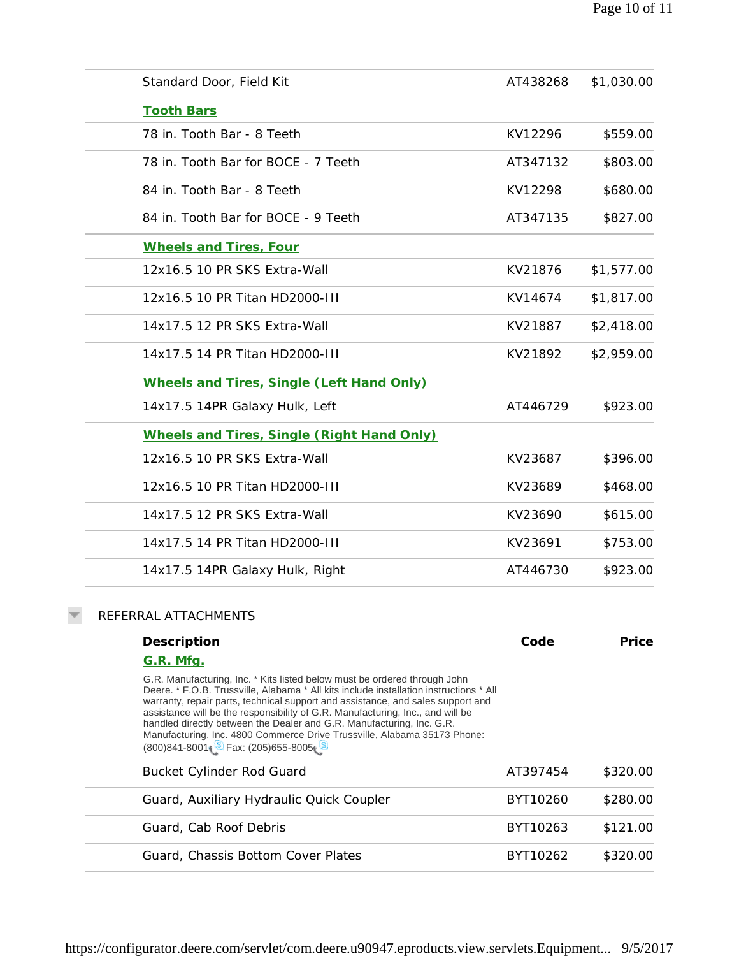| Standard Door, Field Kit                   | AT438268 | \$1,030.00 |
|--------------------------------------------|----------|------------|
| <b>Tooth Bars</b>                          |          |            |
| 78 in. Tooth Bar - 8 Teeth                 | KV12296  | \$559.00   |
| 78 in. Tooth Bar for BOCE - 7 Teeth        | AT347132 | \$803.00   |
| 84 in. Tooth Bar - 8 Teeth                 | KV12298  | \$680.00   |
| 84 in. Tooth Bar for BOCE - 9 Teeth        | AT347135 | \$827.00   |
| Wheels and Tires, Four                     |          |            |
| 12x16.5 10 PR SKS Extra-Wall               | KV21876  | \$1,577.00 |
| 12x16.5 10 PR Titan HD2000-III             | KV14674  | \$1,817.00 |
| 14x17.5 12 PR SKS Extra-Wall               | KV21887  | \$2,418.00 |
| 14x17.5 14 PR Titan HD2000-III             | KV21892  | \$2,959.00 |
| Wheels and Tires, Single (Left Hand Only)  |          |            |
| 14x17.5 14PR Galaxy Hulk, Left             | AT446729 | \$923.00   |
| Wheels and Tires, Single (Right Hand Only) |          |            |
| 12x16.5 10 PR SKS Extra-Wall               | KV23687  | \$396.00   |
| 12x16.5 10 PR Titan HD2000-III             | KV23689  | \$468.00   |
| 14x17.5 12 PR SKS Extra-Wall               | KV23690  | \$615.00   |
| 14x17.5 14 PR Titan HD2000-III             | KV23691  | \$753.00   |
| 14x17.5 14PR Galaxy Hulk, Right            | AT446730 | \$923.00   |
| REFERRAL ATTACHMENTS                       |          |            |
| Description                                | Code     | Price      |
| G.R. Mfg.                                  |          |            |

G.R. Manufacturing, Inc. \* Kits listed below must be ordered through John Deere. \* F.O.B. Trussville, Alabama \* All kits include installation instructions \* All warranty, repair parts, technical support and assistance, and sales support and assistance will be the responsibility of G.R. Manufacturing, Inc., and will be handled directly between the Dealer and G.R. Manufacturing, Inc. G.R. Manufacturing, Inc. 4800 Commerce Drive Trussville, Alabama 35173 Phone: (800)841-8001 Fax: (205)655-8005

 $\overline{\mathbf{v}}$ 

| <b>Bucket Cylinder Rod Guard</b>         | AT397454 | \$320.00 |
|------------------------------------------|----------|----------|
|                                          |          |          |
| Guard, Auxiliary Hydraulic Quick Coupler | BYT10260 | \$280.00 |
| Guard, Cab Roof Debris                   | BYT10263 | \$121.00 |
| Guard, Chassis Bottom Cover Plates       | BYT10262 | \$320.00 |